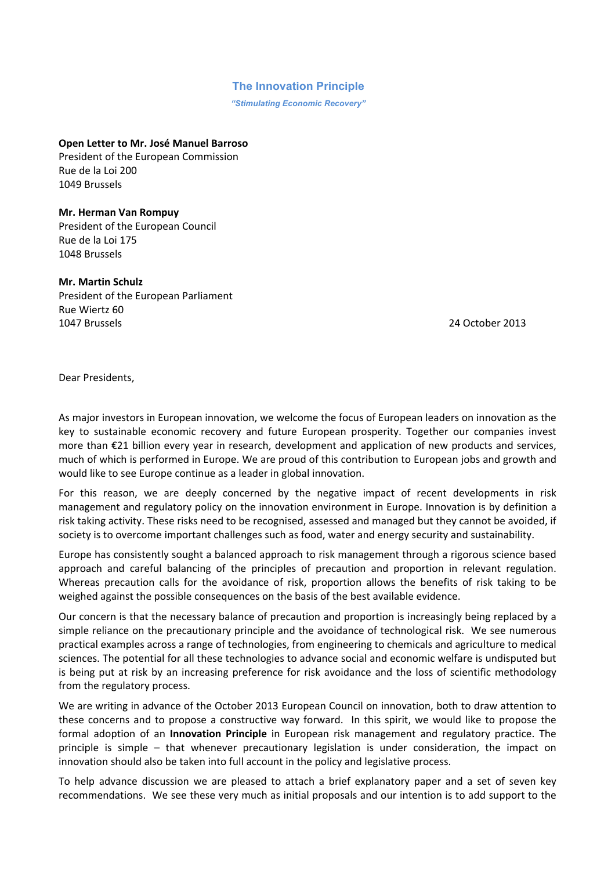## **The Innovation Principle**

*"Stimulating Economic Recovery"*

**Open Letter to Mr. José Manuel Barroso** President of the European Commission Rue de la Loi 200 1049)Brussels))))))))))))))))))))))))))))))))))))))))))))))))))

**Mr. Herman Van Rompuy** President of the European Council Rue de la Loi 175 1048 Brussels

**Mr. Martin Schulz** President of the European Parliament Rue Wiertz 60 1047)Brussels)))))))))))))))))))))))))))))))))))))))))))))))))))))))))))))))))))))))))))))))))))))))))))))))))))))))))))))))))))))))))))))))24)October)2013

Dear Presidents,

As major investors in European innovation, we welcome the focus of European leaders on innovation as the key to sustainable economic recovery and future European prosperity. Together our companies invest more than €21 billion every year in research, development and application of new products and services, much of which is performed in Europe. We are proud of this contribution to European jobs and growth and would like to see Europe continue as a leader in global innovation.

For this reason, we are deeply concerned by the negative impact of recent developments in risk management and regulatory policy on the innovation environment in Europe. Innovation is by definition a risk taking activity. These risks need to be recognised, assessed and managed but they cannot be avoided, if society is to overcome important challenges such as food, water and energy security and sustainability.

Europe has consistently sought a balanced approach to risk management through a rigorous science based approach and careful balancing of the principles of precaution and proportion in relevant regulation. Whereas precaution calls for the avoidance of risk, proportion allows the benefits of risk taking to be weighed against the possible consequences on the basis of the best available evidence.

Our concern is that the necessary balance of precaution and proportion is increasingly being replaced by a simple reliance on the precautionary principle and the avoidance of technological risk. We see numerous practical examples across a range of technologies, from engineering to chemicals and agriculture to medical sciences. The potential for all these technologies to advance social and economic welfare is undisputed but is) being) put at risk by an increasing preference for risk avoidance and the loss of scientific methodology from the regulatory process.

We are writing in advance of the October 2013 European Council on innovation, both to draw attention to these concerns and to propose a constructive way forward. In this spirit, we would like to propose the formal adoption of an **Innovation Principle** in European risk management and regulatory practice. The principle is simple – that whenever precautionary legislation is under consideration, the impact on innovation should also be taken into full account in the policy and legislative process.

To) help advance discussion we are pleased to attach a brief explanatory paper and a set of seven key recommendations. We see these very much as initial proposals and our intention is to add support to the